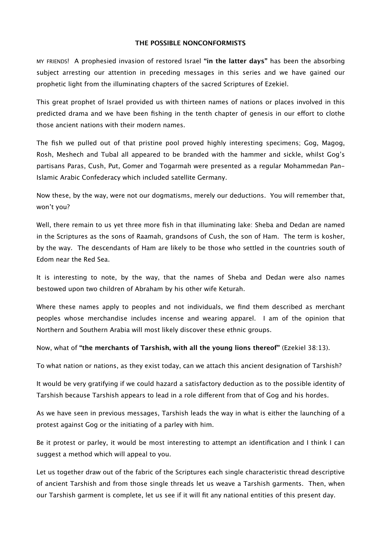## **THE POSSIBLE NONCONFORMISTS**

MY FRIENDS! A prophesied invasion of restored Israel **"in the latter days"** has been the absorbing subject arresting our attention in preceding messages in this series and we have gained our prophetic light from the illuminating chapters of the sacred Scriptures of Ezekiel.

This great prophet of Israel provided us with thirteen names of nations or places involved in this predicted drama and we have been fishing in the tenth chapter of genesis in our effort to clothe those ancient nations with their modern names.

The fish we pulled out of that pristine pool proved highly interesting specimens; Gog, Magog, Rosh, Meshech and Tubal all appeared to be branded with the hammer and sickle, whilst Gog's partisans Paras, Cush, Put, Gomer and Togarmah were presented as a regular Mohammedan Pan-Islamic Arabic Confederacy which included satellite Germany.

Now these, by the way, were not our dogmatisms, merely our deductions. You will remember that, won't you?

Well, there remain to us yet three more fish in that illuminating lake: Sheba and Dedan are named in the Scriptures as the sons of Raamah, grandsons of Cush, the son of Ham. The term is kosher, by the way. The descendants of Ham are likely to be those who settled in the countries south of Edom near the Red Sea.

It is interesting to note, by the way, that the names of Sheba and Dedan were also names bestowed upon two children of Abraham by his other wife Keturah.

Where these names apply to peoples and not individuals, we find them described as merchant peoples whose merchandise includes incense and wearing apparel. I am of the opinion that Northern and Southern Arabia will most likely discover these ethnic groups.

Now, what of **"the merchants of Tarshish, with all the young lions thereof"** (Ezekiel 38:13).

To what nation or nations, as they exist today, can we attach this ancient designation of Tarshish?

It would be very gratifying if we could hazard a satisfactory deduction as to the possible identity of Tarshish because Tarshish appears to lead in a role diferent from that of Gog and his hordes.

As we have seen in previous messages, Tarshish leads the way in what is either the launching of a protest against Gog or the initiating of a parley with him.

Be it protest or parley, it would be most interesting to attempt an identification and I think I can suggest a method which will appeal to you.

Let us together draw out of the fabric of the Scriptures each single characteristic thread descriptive of ancient Tarshish and from those single threads let us weave a Tarshish garments. Then, when our Tarshish garment is complete, let us see if it will fit any national entities of this present day.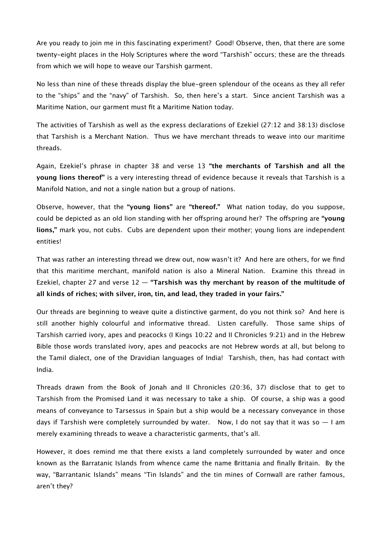Are you ready to join me in this fascinating experiment? Good! Observe, then, that there are some twenty-eight places in the Holy Scriptures where the word "Tarshish" occurs; these are the threads from which we will hope to weave our Tarshish garment.

No less than nine of these threads display the blue-green splendour of the oceans as they all refer to the "ships" and the "navy" of Tarshish. So, then here's a start. Since ancient Tarshish was a Maritime Nation, our garment must fit a Maritime Nation today.

The activities of Tarshish as well as the express declarations of Ezekiel (27:12 and 38:13) disclose that Tarshish is a Merchant Nation. Thus we have merchant threads to weave into our maritime threads.

Again, Ezekiel's phrase in chapter 38 and verse 13 **"the merchants of Tarshish and all the young lions thereof"** is a very interesting thread of evidence because it reveals that Tarshish is a Manifold Nation, and not a single nation but a group of nations.

Observe, however, that the **"young lions"** are **"thereof."** What nation today, do you suppose, could be depicted as an old lion standing with her ofspring around her? The ofspring are **"young lions,"** mark you, not cubs. Cubs are dependent upon their mother; young lions are independent entities!

That was rather an interesting thread we drew out, now wasn't it? And here are others, for we find that this maritime merchant, manifold nation is also a Mineral Nation. Examine this thread in Ezekiel, chapter 27 and verse 12 — **"Tarshish was thy merchant by reason of the multitude of all kinds of riches; with silver, iron, tin, and lead, they traded in your fairs."**

Our threads are beginning to weave quite a distinctive garment, do you not think so? And here is still another highly colourful and informative thread. Listen carefully. Those same ships of Tarshish carried ivory, apes and peacocks (I Kings 10:22 and II Chronicles 9:21) and in the Hebrew Bible those words translated ivory, apes and peacocks are not Hebrew words at all, but belong to the Tamil dialect, one of the Dravidian languages of India! Tarshish, then, has had contact with India.

Threads drawn from the Book of Jonah and II Chronicles (20:36, 37) disclose that to get to Tarshish from the Promised Land it was necessary to take a ship. Of course, a ship was a good means of conveyance to Tarsessus in Spain but a ship would be a necessary conveyance in those days if Tarshish were completely surrounded by water. Now, I do not say that it was so  $-1$  am merely examining threads to weave a characteristic garments, that's all.

However, it does remind me that there exists a land completely surrounded by water and once known as the Barratanic Islands from whence came the name Brittania and finally Britain. By the way, "Barrantanic Islands" means "Tin Islands" and the tin mines of Cornwall are rather famous, aren't they?